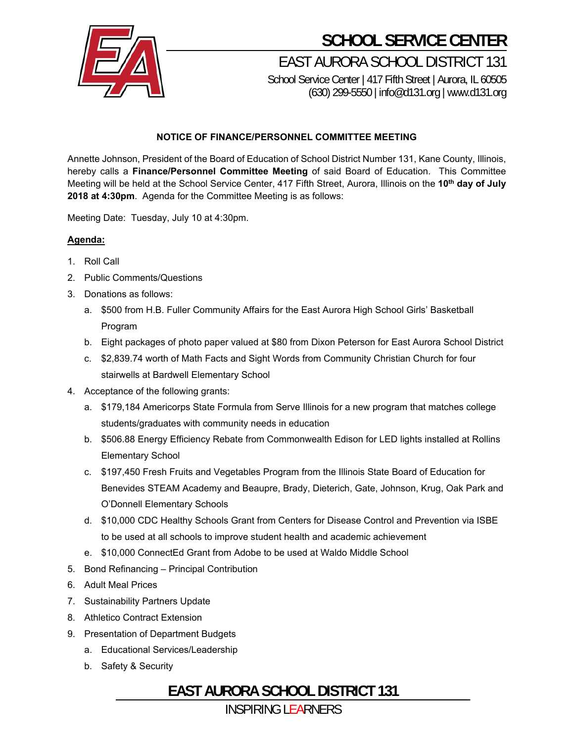

## **SCHOOL SERVICE CENTER**

EAST AURORA SCHOOL DISTRICT 131 School Service Center | 417 Fifth Street | Aurora, IL 60505

(630) 299-5550 | info@d131.org | www.d131.org

#### **NOTICE OF FINANCE/PERSONNEL COMMITTEE MEETING**

Annette Johnson, President of the Board of Education of School District Number 131, Kane County, Illinois, hereby calls a **Finance/Personnel Committee Meeting** of said Board of Education. This Committee Meeting will be held at the School Service Center, 417 Fifth Street, Aurora, Illinois on the **10th day of July 2018 at 4:30pm**. Agenda for the Committee Meeting is as follows:

Meeting Date: Tuesday, July 10 at 4:30pm.

#### **Agenda:**

- 1. Roll Call
- 2. Public Comments/Questions
- 3. Donations as follows:
	- a. \$500 from H.B. Fuller Community Affairs for the East Aurora High School Girls' Basketball Program
	- b. Eight packages of photo paper valued at \$80 from Dixon Peterson for East Aurora School District
	- c. \$2,839.74 worth of Math Facts and Sight Words from Community Christian Church for four stairwells at Bardwell Elementary School
- 4. Acceptance of the following grants:
	- a. \$179,184 Americorps State Formula from Serve Illinois for a new program that matches college students/graduates with community needs in education
	- b. \$506.88 Energy Efficiency Rebate from Commonwealth Edison for LED lights installed at Rollins Elementary School
	- c. \$197,450 Fresh Fruits and Vegetables Program from the Illinois State Board of Education for Benevides STEAM Academy and Beaupre, Brady, Dieterich, Gate, Johnson, Krug, Oak Park and O'Donnell Elementary Schools
	- d. \$10,000 CDC Healthy Schools Grant from Centers for Disease Control and Prevention via ISBE to be used at all schools to improve student health and academic achievement
	- e. \$10,000 ConnectEd Grant from Adobe to be used at Waldo Middle School
- 5. Bond Refinancing Principal Contribution
- 6. Adult Meal Prices
- 7. Sustainability Partners Update
- 8. Athletico Contract Extension
- 9. Presentation of Department Budgets
	- a. Educational Services/Leadership
	- b. Safety & Security

### **EAST AURORA SCHOOL DISTRICT 131**

INSPIRING LEARNERS